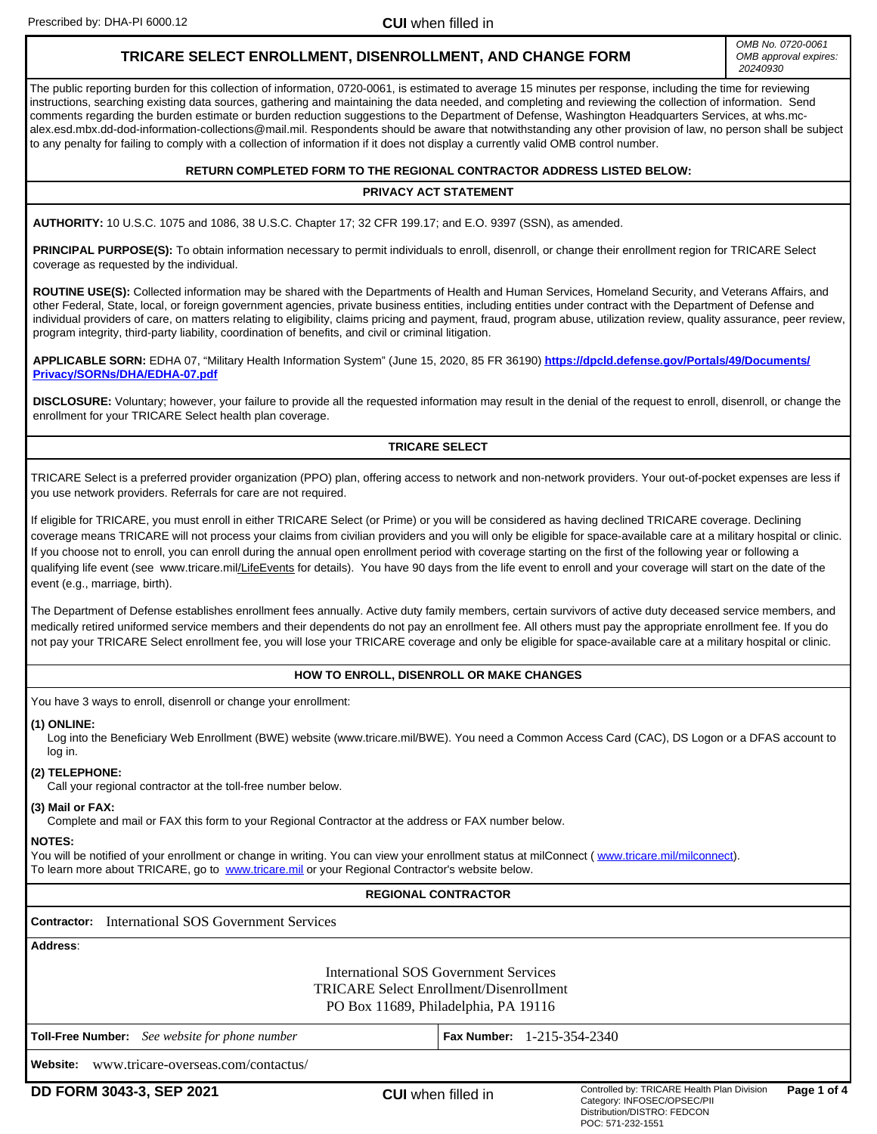Prescribed by: DHA-PI 6000.12 **CUI** when filled in

# **TRICARE SELECT ENROLLMENT, DISENROLLMENT, AND CHANGE FORM**

*OMB No. 0720-0061 OMB approval expires: 20240930*

The public reporting burden for this collection of information, 0720-0061, is estimated to average 15 minutes per response, including the time for reviewing instructions, searching existing data sources, gathering and maintaining the data needed, and completing and reviewing the collection of information. Send comments regarding the burden estimate or burden reduction suggestions to the Department of Defense, Washington Headquarters Services, at whs.mcalex.esd.mbx.dd-dod-information-collections@mail.mil. Respondents should be aware that notwithstanding any other provision of law, no person shall be subject to any penalty for failing to comply with a collection of information if it does not display a currently valid OMB control number.

### **RETURN COMPLETED FORM TO THE REGIONAL CONTRACTOR ADDRESS LISTED BELOW:**

### **PRIVACY ACT STATEMENT**

**AUTHORITY:** 10 U.S.C. 1075 and 1086, 38 U.S.C. Chapter 17; 32 CFR 199.17; and E.O. 9397 (SSN), as amended.

PRINCIPAL PURPOSE(S): To obtain information necessary to permit individuals to enroll, disenroll, or change their enrollment region for TRICARE Select coverage as requested by the individual.

**ROUTINE USE(S):** Collected information may be shared with the Departments of Health and Human Services, Homeland Security, and Veterans Affairs, and other Federal, State, local, or foreign government agencies, private business entities, including entities under contract with the Department of Defense and individual providers of care, on matters relating to eligibility, claims pricing and payment, fraud, program abuse, utilization review, quality assurance, peer review, program integrity, third-party liability, coordination of benefits, and civil or criminal litigation.

**APPLICABLE SORN:** EDHA 07, "Military Health Information System" (June 15, 2020, 85 FR 36190) **[https://dpcld.defense.gov/Portals/49/Documents/](https://dpcld.defense.gov/Portals/49/Documents/Privacy/SORNs/DHA/EDHA-07.pdf) [Privacy/SORNs/DHA/EDHA-07.pdf](https://dpcld.defense.gov/Portals/49/Documents/Privacy/SORNs/DHA/EDHA-07.pdf)**

**DISCLOSURE:** Voluntary; however, your failure to provide all the requested information may result in the denial of the request to enroll, disenroll, or change the enrollment for your TRICARE Select health plan coverage.

### **TRICARE SELECT**

TRICARE Select is a preferred provider organization (PPO) plan, offering access to network and non-network providers. Your out-of-pocket expenses are less if you use network providers. Referrals for care are not required.

If eligible for TRICARE, you must enroll in either TRICARE Select (or Prime) or you will be considered as having declined TRICARE coverage. Declining coverage means TRICARE will not process your claims from civilian providers and you will only be eligible for space-available care at a military hospital or clinic. If you choose not to enroll, you can enroll during the annual open enrollment period with coverage starting on the first of the following year or following a qualifying life event (see www.tricare.mil/LifeEvents for details). You have 90 days from the life event to enroll and your coverage will start on the date of the event (e.g., marriage, birth).

The Department of Defense establishes enrollment fees annually. Active duty family members, certain survivors of active duty deceased service members, and medically retired uniformed service members and their dependents do not pay an enrollment fee. All others must pay the appropriate enrollment fee. If you do not pay your TRICARE Select enrollment fee, you will lose your TRICARE coverage and only be eligible for space-available care at a military hospital or clinic.

### **HOW TO ENROLL, DISENROLL OR MAKE CHANGES**

You have 3 ways to enroll, disenroll or change your enrollment:

#### **(1) ONLINE:**

Log into the Beneficiary Web Enrollment (BWE) website (www.tricare.mil/BWE). You need a Common Access Card (CAC), DS Logon or a DFAS account to log in.

### **(2) TELEPHONE:**

Call your regional contractor at the toll-free number below.

### **(3) Mail or FAX:**

Complete and mail or FAX this form to your Regional Contractor at the address or FAX number below.

### **NOTES:**

You will be notified of your enrollment or change in writing. You can view your enrollment status at milConnect (www.tricare.mil/milconnect). To learn more about TRICARE, go to [www.tricare.mil](http://www.tricare.mil) or your Regional Contractor's website below.

### **REGIONAL CONTRACTOR**

**Contractor:**  International SOS Government Services

| Address:                                                                                                                        |                                     |  |  |  |
|---------------------------------------------------------------------------------------------------------------------------------|-------------------------------------|--|--|--|
| International SOS Government Services<br><b>TRICARE Select Enrollment/Disenrollment</b><br>PO Box 11689, Philadelphia, PA 19116 |                                     |  |  |  |
| <b>Toll-Free Number:</b> See website for phone number                                                                           | <b>Fax Number:</b> $1-215-354-2340$ |  |  |  |
| Website:<br>www.tricare-overseas.com/contactus/                                                                                 |                                     |  |  |  |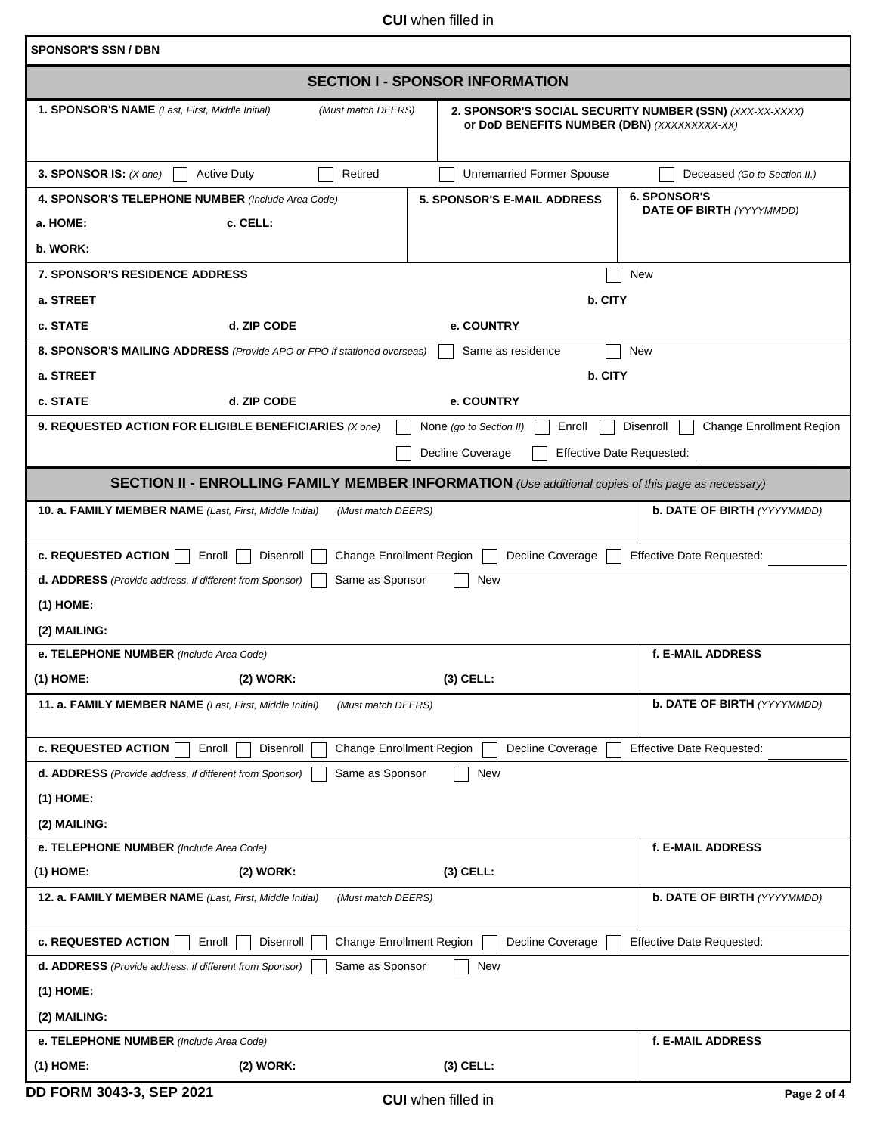**CUI** when filled in

| <b>SPONSOR'S SSN / DBN</b>                                                                                |                                                                                                        |                                              |  |  |  |
|-----------------------------------------------------------------------------------------------------------|--------------------------------------------------------------------------------------------------------|----------------------------------------------|--|--|--|
| <b>SECTION I - SPONSOR INFORMATION</b>                                                                    |                                                                                                        |                                              |  |  |  |
| 1. SPONSOR'S NAME (Last, First, Middle Initial)<br>(Must match DEERS)                                     | 2. SPONSOR'S SOCIAL SECURITY NUMBER (SSN) (XXX-XX-XXXX)<br>or DoD BENEFITS NUMBER (DBN) (XXXXXXXXX-XX) |                                              |  |  |  |
| 3. SPONSOR IS: $(X \text{ one})$<br><b>Active Duty</b><br>Retired                                         | <b>Unremarried Former Spouse</b>                                                                       | Deceased (Go to Section II.)                 |  |  |  |
| 4. SPONSOR'S TELEPHONE NUMBER (Include Area Code)                                                         | <b>5. SPONSOR'S E-MAIL ADDRESS</b>                                                                     | <b>6. SPONSOR'S</b>                          |  |  |  |
| c. CELL:<br>a. HOME:                                                                                      |                                                                                                        | <b>DATE OF BIRTH (YYYYMMDD)</b>              |  |  |  |
| b. WORK:                                                                                                  |                                                                                                        |                                              |  |  |  |
| <b>7. SPONSOR'S RESIDENCE ADDRESS</b><br>New                                                              |                                                                                                        |                                              |  |  |  |
| a. STREET                                                                                                 | b. CITY                                                                                                |                                              |  |  |  |
| c. STATE<br>d. ZIP CODE<br>$ \bm{\nabla} $                                                                | e. COUNTRY                                                                                             |                                              |  |  |  |
| 8. SPONSOR'S MAILING ADDRESS (Provide APO or FPO if stationed overseas)                                   | Same as residence                                                                                      | <b>New</b>                                   |  |  |  |
| a. STREET                                                                                                 | b. CITY                                                                                                |                                              |  |  |  |
| c. STATE<br>d. ZIP CODE<br>$\blacktriangledown$                                                           | e. COUNTRY                                                                                             |                                              |  |  |  |
| 9. REQUESTED ACTION FOR ELIGIBLE BENEFICIARIES (X one)                                                    | Enroll<br>None (go to Section II)                                                                      | Disenroll<br><b>Change Enrollment Region</b> |  |  |  |
|                                                                                                           | Decline Coverage<br><b>Effective Date Requested:</b>                                                   |                                              |  |  |  |
| <b>SECTION II - ENROLLING FAMILY MEMBER INFORMATION</b> (Use additional copies of this page as necessary) |                                                                                                        |                                              |  |  |  |
| 10. a. FAMILY MEMBER NAME (Last, First, Middle Initial)<br>(Must match DEERS)                             |                                                                                                        | <b>b. DATE OF BIRTH (YYYYMMDD)</b>           |  |  |  |
|                                                                                                           |                                                                                                        |                                              |  |  |  |
| <b>c. REQUESTED ACTION</b><br>Enroll<br>Disenroll<br><b>Change Enrollment Region</b>                      | Decline Coverage                                                                                       | <b>Effective Date Requested:</b>             |  |  |  |
| Same as Sponsor<br>d. ADDRESS (Provide address, if different from Sponsor)                                | New                                                                                                    |                                              |  |  |  |
| $(1)$ HOME:                                                                                               |                                                                                                        |                                              |  |  |  |
| (2) MAILING:                                                                                              |                                                                                                        |                                              |  |  |  |
| e. TELEPHONE NUMBER (Include Area Code)                                                                   |                                                                                                        | f. E-MAIL ADDRESS                            |  |  |  |
| (1) HOME:<br>(2) WORK:                                                                                    | (3) CELL:                                                                                              |                                              |  |  |  |
| 11. a. FAMILY MEMBER NAME (Last, First, Middle Initial)<br>(Must match DEERS)                             |                                                                                                        | <b>b. DATE OF BIRTH (YYYYMMDD)</b>           |  |  |  |
|                                                                                                           |                                                                                                        |                                              |  |  |  |
| c. REQUESTED ACTION<br>Change Enrollment Region<br>Enroll<br>Disenroll                                    | Decline Coverage                                                                                       | <b>Effective Date Requested:</b>             |  |  |  |
| Same as Sponsor<br>d. ADDRESS (Provide address, if different from Sponsor)                                | New                                                                                                    |                                              |  |  |  |
| $(1)$ HOME:                                                                                               |                                                                                                        |                                              |  |  |  |
| (2) MAILING:                                                                                              |                                                                                                        |                                              |  |  |  |
| e. TELEPHONE NUMBER (Include Area Code)                                                                   |                                                                                                        | f. E-MAIL ADDRESS                            |  |  |  |
| (1) HOME:<br>(2) WORK:                                                                                    | $(3)$ CELL:                                                                                            |                                              |  |  |  |
| 12. a. FAMILY MEMBER NAME (Last, First, Middle Initial)<br>(Must match DEERS)                             |                                                                                                        | <b>b. DATE OF BIRTH (YYYYMMDD)</b>           |  |  |  |
| <b>c. REQUESTED ACTION</b><br>Enroll<br>Disenroll<br><b>Change Enrollment Region</b>                      | Decline Coverage                                                                                       | <b>Effective Date Requested:</b>             |  |  |  |
| Same as Sponsor<br>d. ADDRESS (Provide address, if different from Sponsor)                                | New                                                                                                    |                                              |  |  |  |
| $(1)$ HOME:                                                                                               |                                                                                                        |                                              |  |  |  |
| (2) MAILING:                                                                                              |                                                                                                        |                                              |  |  |  |
| e. TELEPHONE NUMBER (Include Area Code)                                                                   |                                                                                                        | f. E-MAIL ADDRESS                            |  |  |  |
| $(1)$ HOME:<br>(2) WORK:                                                                                  | $(3)$ CELL:                                                                                            |                                              |  |  |  |
| DD FORM 3043-3, SEP 2021                                                                                  | <b>CUI</b> when filled in                                                                              | Page 2 of 4                                  |  |  |  |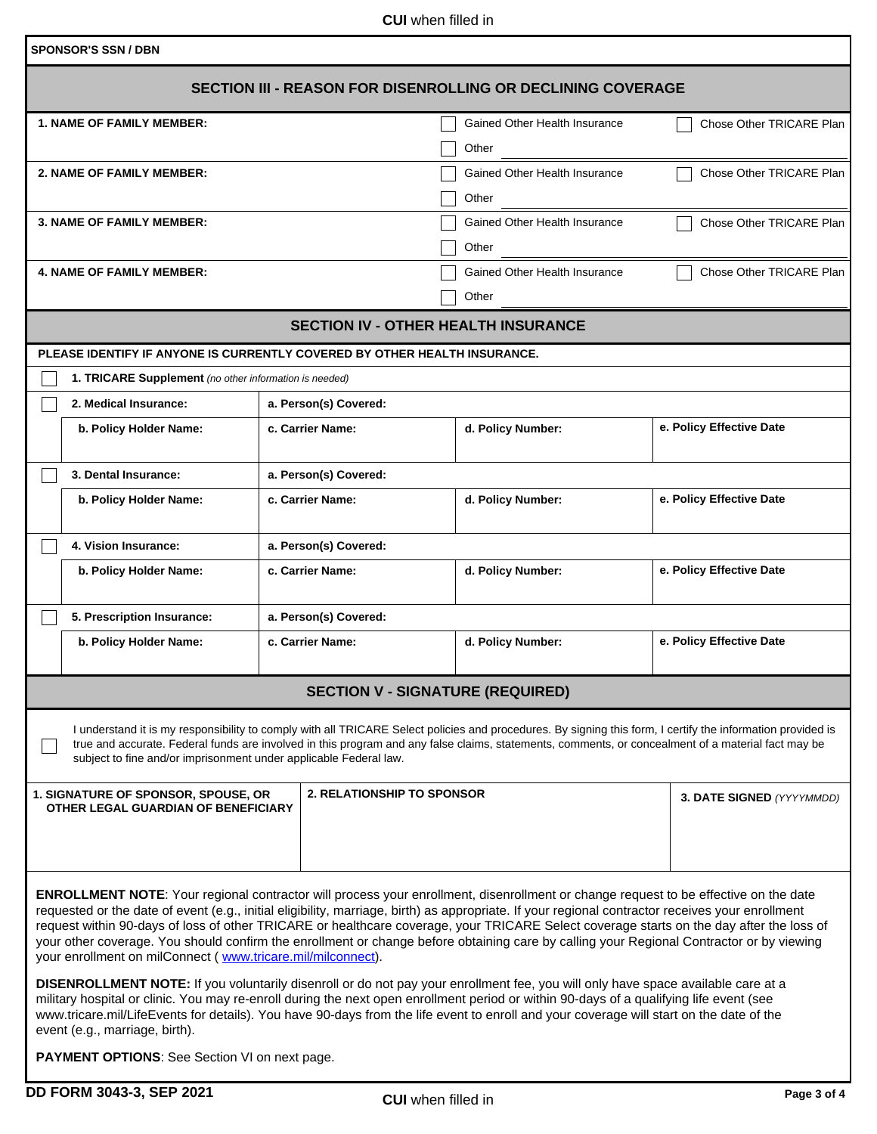**CUI** when filled in

| <b>SPONSOR'S SSN / DBN</b>                                                                                                                                                                                                                                                                                                                                                                                                                                                                                                                                                                                                                            |                                         |                                        |                           |  |  |  |
|-------------------------------------------------------------------------------------------------------------------------------------------------------------------------------------------------------------------------------------------------------------------------------------------------------------------------------------------------------------------------------------------------------------------------------------------------------------------------------------------------------------------------------------------------------------------------------------------------------------------------------------------------------|-----------------------------------------|----------------------------------------|---------------------------|--|--|--|
| SECTION III - REASON FOR DISENROLLING OR DECLINING COVERAGE                                                                                                                                                                                                                                                                                                                                                                                                                                                                                                                                                                                           |                                         |                                        |                           |  |  |  |
| <b>1. NAME OF FAMILY MEMBER:</b>                                                                                                                                                                                                                                                                                                                                                                                                                                                                                                                                                                                                                      |                                         | Gained Other Health Insurance<br>Other | Chose Other TRICARE Plan  |  |  |  |
| 2. NAME OF FAMILY MEMBER:                                                                                                                                                                                                                                                                                                                                                                                                                                                                                                                                                                                                                             |                                         | Gained Other Health Insurance<br>Other | Chose Other TRICARE Plan  |  |  |  |
| <b>3. NAME OF FAMILY MEMBER:</b>                                                                                                                                                                                                                                                                                                                                                                                                                                                                                                                                                                                                                      |                                         | Gained Other Health Insurance<br>Other | Chose Other TRICARE Plan  |  |  |  |
| <b>4. NAME OF FAMILY MEMBER:</b>                                                                                                                                                                                                                                                                                                                                                                                                                                                                                                                                                                                                                      |                                         | Gained Other Health Insurance<br>Other | Chose Other TRICARE Plan  |  |  |  |
| <b>SECTION IV - OTHER HEALTH INSURANCE</b>                                                                                                                                                                                                                                                                                                                                                                                                                                                                                                                                                                                                            |                                         |                                        |                           |  |  |  |
| PLEASE IDENTIFY IF ANYONE IS CURRENTLY COVERED BY OTHER HEALTH INSURANCE.                                                                                                                                                                                                                                                                                                                                                                                                                                                                                                                                                                             |                                         |                                        |                           |  |  |  |
| 1. TRICARE Supplement (no other information is needed)                                                                                                                                                                                                                                                                                                                                                                                                                                                                                                                                                                                                |                                         |                                        |                           |  |  |  |
| 2. Medical Insurance:                                                                                                                                                                                                                                                                                                                                                                                                                                                                                                                                                                                                                                 | a. Person(s) Covered:                   |                                        |                           |  |  |  |
| b. Policy Holder Name:                                                                                                                                                                                                                                                                                                                                                                                                                                                                                                                                                                                                                                | c. Carrier Name:                        | d. Policy Number:                      | e. Policy Effective Date  |  |  |  |
| 3. Dental Insurance:                                                                                                                                                                                                                                                                                                                                                                                                                                                                                                                                                                                                                                  | a. Person(s) Covered:                   |                                        |                           |  |  |  |
| b. Policy Holder Name:                                                                                                                                                                                                                                                                                                                                                                                                                                                                                                                                                                                                                                | c. Carrier Name:                        | d. Policy Number:                      | e. Policy Effective Date  |  |  |  |
| 4. Vision Insurance:                                                                                                                                                                                                                                                                                                                                                                                                                                                                                                                                                                                                                                  | a. Person(s) Covered:                   |                                        |                           |  |  |  |
| b. Policy Holder Name:                                                                                                                                                                                                                                                                                                                                                                                                                                                                                                                                                                                                                                | c. Carrier Name:                        | d. Policy Number:                      | e. Policy Effective Date  |  |  |  |
| 5. Prescription Insurance:                                                                                                                                                                                                                                                                                                                                                                                                                                                                                                                                                                                                                            | a. Person(s) Covered:                   |                                        |                           |  |  |  |
| b. Policy Holder Name:                                                                                                                                                                                                                                                                                                                                                                                                                                                                                                                                                                                                                                | c. Carrier Name:                        | d. Policy Number:                      | e. Policy Effective Date  |  |  |  |
|                                                                                                                                                                                                                                                                                                                                                                                                                                                                                                                                                                                                                                                       | <b>SECTION V - SIGNATURE (REQUIRED)</b> |                                        |                           |  |  |  |
| I understand it is my responsibility to comply with all TRICARE Select policies and procedures. By signing this form, I certify the information provided is<br>true and accurate. Federal funds are involved in this program and any false claims, statements, comments, or concealment of a material fact may be<br>subject to fine and/or imprisonment under applicable Federal law.                                                                                                                                                                                                                                                                |                                         |                                        |                           |  |  |  |
| 1. SIGNATURE OF SPONSOR, SPOUSE, OR<br>OTHER LEGAL GUARDIAN OF BENEFICIARY                                                                                                                                                                                                                                                                                                                                                                                                                                                                                                                                                                            | <b>2. RELATIONSHIP TO SPONSOR</b>       |                                        | 3. DATE SIGNED (YYYYMMDD) |  |  |  |
| <b>ENROLLMENT NOTE:</b> Your regional contractor will process your enrollment, disenrollment or change request to be effective on the date<br>requested or the date of event (e.g., initial eligibility, marriage, birth) as appropriate. If your regional contractor receives your enrollment<br>request within 90-days of loss of other TRICARE or healthcare coverage, your TRICARE Select coverage starts on the day after the loss of<br>your other coverage. You should confirm the enrollment or change before obtaining care by calling your Regional Contractor or by viewing<br>your enrollment on milConnect (www.tricare.mil/milconnect). |                                         |                                        |                           |  |  |  |
| DISENROLLMENT NOTE: If you voluntarily disenroll or do not pay your enrollment fee, you will only have space available care at a<br>military hospital or clinic. You may re-enroll during the next open enrollment period or within 90-days of a qualifying life event (see<br>www.tricare.mil/LifeEvents for details). You have 90-days from the life event to enroll and your coverage will start on the date of the<br>event (e.g., marriage, birth).                                                                                                                                                                                              |                                         |                                        |                           |  |  |  |

**PAYMENT OPTIONS**: See Section VI on next page.